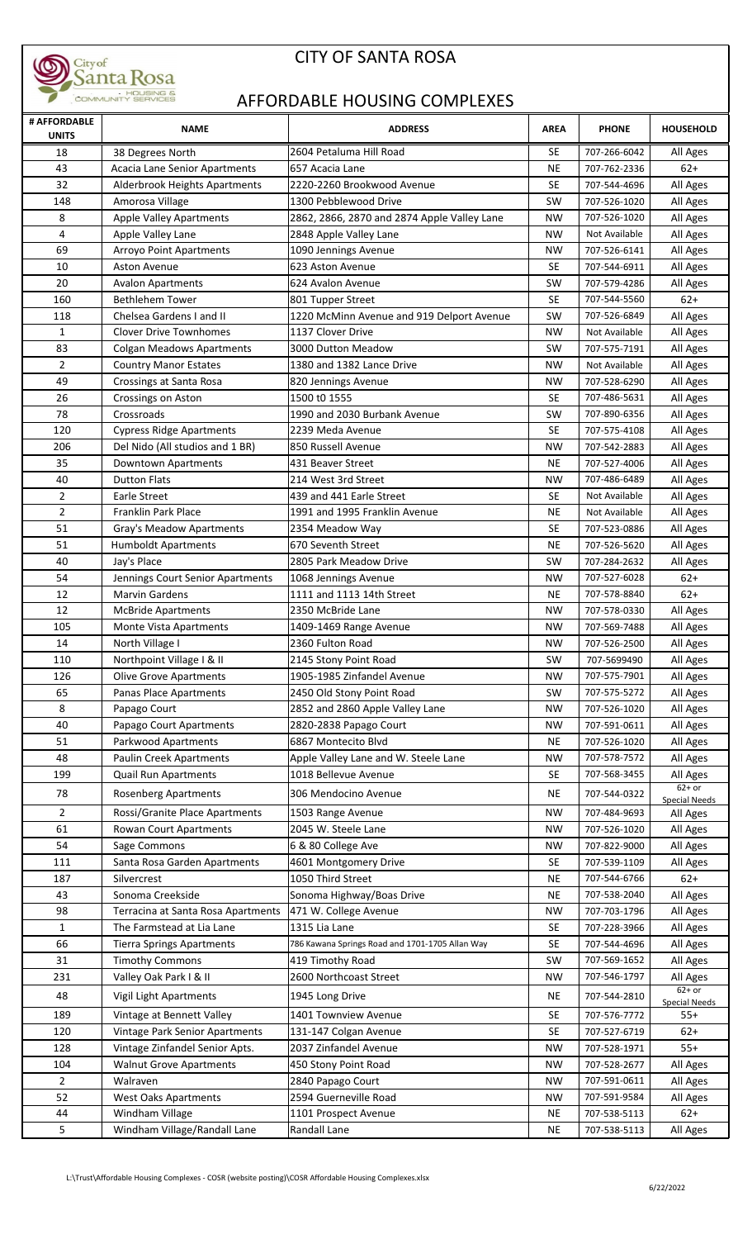

## CITY OF SANTA ROSA

## AFFORDABLE HOUSING COMPLEXES

| # AFFORDABLE<br><b>UNITS</b> | <b>NAME</b>                          | <b>ADDRESS</b>                                  | <b>AREA</b> | <b>PHONE</b>  | <b>HOUSEHOLD</b>                 |
|------------------------------|--------------------------------------|-------------------------------------------------|-------------|---------------|----------------------------------|
| 18                           | 38 Degrees North                     | 2604 Petaluma Hill Road                         | <b>SE</b>   | 707-266-6042  | All Ages                         |
| 43                           | <b>Acacia Lane Senior Apartments</b> | 657 Acacia Lane                                 | <b>NE</b>   | 707-762-2336  | $62+$                            |
| 32                           | Alderbrook Heights Apartments        | 2220-2260 Brookwood Avenue                      | <b>SE</b>   | 707-544-4696  | All Ages                         |
| 148                          | Amorosa Village                      | 1300 Pebblewood Drive                           | SW          | 707-526-1020  | All Ages                         |
| 8                            | <b>Apple Valley Apartments</b>       | 2862, 2866, 2870 and 2874 Apple Valley Lane     | <b>NW</b>   | 707-526-1020  | All Ages                         |
| 4                            | Apple Valley Lane                    | 2848 Apple Valley Lane                          | <b>NW</b>   | Not Available | All Ages                         |
| 69                           | <b>Arroyo Point Apartments</b>       | 1090 Jennings Avenue                            | NW          | 707-526-6141  | All Ages                         |
| 10                           | Aston Avenue                         | 623 Aston Avenue                                | <b>SE</b>   | 707-544-6911  | All Ages                         |
| 20                           | <b>Avalon Apartments</b>             | 624 Avalon Avenue                               | SW          | 707-579-4286  | All Ages                         |
| 160                          | <b>Bethlehem Tower</b>               | 801 Tupper Street                               | <b>SE</b>   | 707-544-5560  | $62+$                            |
| 118                          | Chelsea Gardens I and II             | 1220 McMinn Avenue and 919 Delport Avenue       | SW          | 707-526-6849  | All Ages                         |
| $\mathbf{1}$                 | Clover Drive Townhomes               | 1137 Clover Drive                               | <b>NW</b>   | Not Available | All Ages                         |
| 83                           | <b>Colgan Meadows Apartments</b>     | 3000 Dutton Meadow                              | SW          | 707-575-7191  | All Ages                         |
| $\overline{2}$               | <b>Country Manor Estates</b>         | 1380 and 1382 Lance Drive                       | <b>NW</b>   | Not Available | All Ages                         |
| 49                           | Crossings at Santa Rosa              | 820 Jennings Avenue                             | <b>NW</b>   | 707-528-6290  | All Ages                         |
| 26                           | Crossings on Aston                   | 1500 t0 1555                                    | <b>SE</b>   | 707-486-5631  | All Ages                         |
| 78                           | Crossroads                           | 1990 and 2030 Burbank Avenue                    | <b>SW</b>   | 707-890-6356  | All Ages                         |
| 120                          | <b>Cypress Ridge Apartments</b>      | 2239 Meda Avenue                                | <b>SE</b>   | 707-575-4108  | All Ages                         |
| 206                          | Del Nido (All studios and 1 BR)      | 850 Russell Avenue                              | <b>NW</b>   | 707-542-2883  | All Ages                         |
| 35                           | Downtown Apartments                  | 431 Beaver Street                               | <b>NE</b>   | 707-527-4006  | All Ages                         |
| 40                           | <b>Dutton Flats</b>                  | 214 West 3rd Street                             | <b>NW</b>   | 707-486-6489  | All Ages                         |
| 2                            | Earle Street                         | 439 and 441 Earle Street                        | <b>SE</b>   | Not Available | All Ages                         |
| $\overline{2}$               | Franklin Park Place                  | 1991 and 1995 Franklin Avenue                   | <b>NE</b>   | Not Available | All Ages                         |
| 51                           | Gray's Meadow Apartments             | 2354 Meadow Way                                 | <b>SE</b>   | 707-523-0886  | All Ages                         |
| 51                           | <b>Humboldt Apartments</b>           | 670 Seventh Street                              | <b>NE</b>   | 707-526-5620  | All Ages                         |
| 40                           | Jay's Place                          | 2805 Park Meadow Drive                          | <b>SW</b>   | 707-284-2632  | All Ages                         |
| 54                           | Jennings Court Senior Apartments     | 1068 Jennings Avenue                            | NW          | 707-527-6028  | $62+$                            |
| 12                           | <b>Marvin Gardens</b>                | 1111 and 1113 14th Street                       | NE.         | 707-578-8840  | $62+$                            |
| 12                           | <b>McBride Apartments</b>            | 2350 McBride Lane                               | NW          | 707-578-0330  | All Ages                         |
| 105                          | Monte Vista Apartments               | 1409-1469 Range Avenue                          | <b>NW</b>   | 707-569-7488  | All Ages                         |
| 14                           | North Village I                      | 2360 Fulton Road                                | <b>NW</b>   | 707-526-2500  | All Ages                         |
| 110                          | Northpoint Village I & II            | 2145 Stony Point Road                           | SW          | 707-5699490   | All Ages                         |
| 126                          | <b>Olive Grove Apartments</b>        | 1905-1985 Zinfandel Avenue                      | <b>NW</b>   | 707-575-7901  | All Ages                         |
| 65                           | Panas Place Apartments               | 2450 Old Stony Point Road                       | SW          | 707-575-5272  | All Ages                         |
| 8                            | Papago Court                         | 2852 and 2860 Apple Valley Lane                 | NW          | 707-526-1020  | All Ages                         |
| 40                           | Papago Court Apartments              | 2820-2838 Papago Court                          | <b>NW</b>   | 707-591-0611  | All Ages                         |
| 51                           | Parkwood Apartments                  | 6867 Montecito Blvd                             | <b>NE</b>   | 707-526-1020  | All Ages                         |
| 48                           | Paulin Creek Apartments              | Apple Valley Lane and W. Steele Lane            | <b>NW</b>   | 707-578-7572  | All Ages                         |
| 199                          | Quail Run Apartments                 | 1018 Bellevue Avenue                            | <b>SE</b>   | 707-568-3455  | All Ages                         |
| 78                           | <b>Rosenberg Apartments</b>          | 306 Mendocino Avenue                            | NE          | 707-544-0322  | $62+$ or                         |
| $\overline{2}$               | Rossi/Granite Place Apartments       | 1503 Range Avenue                               | NW          | 707-484-9693  | <b>Special Needs</b><br>All Ages |
| 61                           | Rowan Court Apartments               | 2045 W. Steele Lane                             | NW          | 707-526-1020  | All Ages                         |
| 54                           | Sage Commons                         | 6 & 80 College Ave                              | NW          | 707-822-9000  | All Ages                         |
| 111                          | Santa Rosa Garden Apartments         | 4601 Montgomery Drive                           | SE.         | 707-539-1109  | All Ages                         |
| 187                          | Silvercrest                          | 1050 Third Street                               | NE.         | 707-544-6766  | $62+$                            |
| 43                           | Sonoma Creekside                     | Sonoma Highway/Boas Drive                       | <b>NE</b>   | 707-538-2040  | All Ages                         |
| 98                           | Terracina at Santa Rosa Apartments   | 471 W. College Avenue                           | <b>NW</b>   | 707-703-1796  | All Ages                         |
| $\mathbf{1}$                 | The Farmstead at Lia Lane            | 1315 Lia Lane                                   | <b>SE</b>   | 707-228-3966  | All Ages                         |
| 66                           | <b>Tierra Springs Apartments</b>     | 786 Kawana Springs Road and 1701-1705 Allan Way | <b>SE</b>   | 707-544-4696  | All Ages                         |
| 31                           | <b>Timothy Commons</b>               | 419 Timothy Road                                | <b>SW</b>   | 707-569-1652  | All Ages                         |
| 231                          | Valley Oak Park I & II               | 2600 Northcoast Street                          | NW          | 707-546-1797  | All Ages                         |
| 48                           | Vigil Light Apartments               | 1945 Long Drive                                 | NE          | 707-544-2810  | $62+$ or                         |
|                              |                                      |                                                 |             |               | Special Needs                    |
| 189                          | Vintage at Bennett Valley            | 1401 Townview Avenue                            | SE          | 707-576-7772  | $55+$                            |
| 120                          | Vintage Park Senior Apartments       | 131-147 Colgan Avenue                           | <b>SE</b>   | 707-527-6719  | $62+$                            |
| 128                          | Vintage Zinfandel Senior Apts.       | 2037 Zinfandel Avenue                           | NW          | 707-528-1971  | $55+$                            |
| 104                          | <b>Walnut Grove Apartments</b>       | 450 Stony Point Road                            | NW          | 707-528-2677  | All Ages                         |
| $\overline{2}$               | Walraven                             | 2840 Papago Court                               | NW          | 707-591-0611  | All Ages                         |
| 52                           | <b>West Oaks Apartments</b>          | 2594 Guerneville Road                           | NW          | 707-591-9584  | All Ages                         |
| 44                           | Windham Village                      | 1101 Prospect Avenue                            | NE          | 707-538-5113  | $62+$                            |
| 5                            | Windham Village/Randall Lane         | Randall Lane                                    | <b>NE</b>   | 707-538-5113  | All Ages                         |